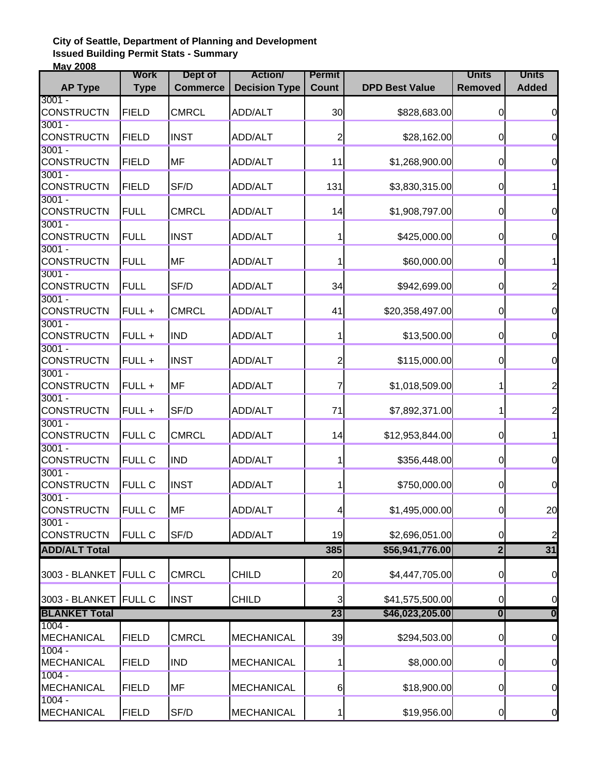## **City of Seattle, Department of Planning and Development Issued Building Permit Stats - Summary May 2008**

|                      | <b>Work</b>   | Dept of         | <b>Action/</b>       | <b>Permit</b>  |                       | <b>Units</b>            | <b>Units</b>            |
|----------------------|---------------|-----------------|----------------------|----------------|-----------------------|-------------------------|-------------------------|
| <b>AP Type</b>       | <b>Type</b>   | <b>Commerce</b> | <b>Decision Type</b> | <b>Count</b>   | <b>DPD Best Value</b> | <b>Removed</b>          | <b>Added</b>            |
| $3001 -$             |               |                 |                      |                |                       |                         |                         |
| <b>CONSTRUCTN</b>    | <b>FIELD</b>  | <b>CMRCL</b>    | ADD/ALT              | 30             | \$828,683.00          | $\overline{0}$          | $\overline{0}$          |
| $3001 -$             |               |                 |                      |                |                       |                         |                         |
| <b>CONSTRUCTN</b>    | <b>FIELD</b>  | <b>INST</b>     | ADD/ALT              | $\overline{c}$ | \$28,162.00           | $\overline{0}$          | $\mathbf 0$             |
| $3001 -$             |               |                 |                      |                |                       |                         |                         |
| <b>CONSTRUCTN</b>    | <b>FIELD</b>  | <b>MF</b>       | ADD/ALT              | 11             | \$1,268,900.00        | $\boldsymbol{0}$        | $\mathbf 0$             |
| $3001 -$             |               |                 |                      |                |                       |                         |                         |
| <b>CONSTRUCTN</b>    | <b>FIELD</b>  | SF/D            | ADD/ALT              | 131            | \$3,830,315.00        | $\mathbf 0$             | 1                       |
| $3001 -$             |               |                 |                      |                |                       |                         |                         |
| <b>CONSTRUCTN</b>    | <b>FULL</b>   | <b>CMRCL</b>    | ADD/ALT              | 14             | \$1,908,797.00        | $\overline{0}$          | $\overline{O}$          |
| $3001 -$             |               |                 |                      |                |                       |                         |                         |
| <b>CONSTRUCTN</b>    | <b>FULL</b>   | <b>INST</b>     | ADD/ALT              |                | \$425,000.00          | $\overline{0}$          | $\overline{0}$          |
| $3001 -$             |               |                 |                      |                |                       |                         |                         |
| <b>CONSTRUCTN</b>    | <b>FULL</b>   | <b>MF</b>       | ADD/ALT              |                | \$60,000.00           | $\overline{0}$          | 1                       |
| $3001 -$             |               |                 |                      |                |                       |                         |                         |
| <b>CONSTRUCTN</b>    | <b>FULL</b>   | SF/D            | ADD/ALT              | 34             | \$942,699.00          | $\mathbf 0$             | $\overline{\mathbf{c}}$ |
| $3001 -$             |               |                 |                      |                |                       |                         |                         |
| <b>CONSTRUCTN</b>    | FULL +        | <b>CMRCL</b>    | ADD/ALT              | 41             | \$20,358,497.00       | $\overline{0}$          | $\overline{0}$          |
| $3001 -$             |               |                 |                      |                |                       |                         |                         |
| <b>CONSTRUCTN</b>    | FULL +        | <b>IND</b>      | ADD/ALT              |                | \$13,500.00           | $\overline{0}$          | $\overline{0}$          |
| $3001 -$             |               |                 |                      |                |                       |                         |                         |
| <b>CONSTRUCTN</b>    | FULL +        | <b>INST</b>     | ADD/ALT              | $\overline{c}$ | \$115,000.00          | $\overline{0}$          | $\overline{0}$          |
| $3001 -$             |               |                 |                      |                |                       |                         |                         |
| <b>CONSTRUCTN</b>    | FULL +        | <b>MF</b>       | ADD/ALT              | 7              | \$1,018,509.00        | 1                       | $\overline{c}$          |
| $3001 -$             |               |                 |                      |                |                       |                         |                         |
| <b>CONSTRUCTN</b>    | FULL +        | SF/D            | ADD/ALT              | 71             | \$7,892,371.00        | 1                       | $\overline{c}$          |
| $3001 -$             |               |                 |                      |                |                       |                         |                         |
| <b>CONSTRUCTN</b>    | <b>FULL C</b> | <b>CMRCL</b>    | ADD/ALT              | 14             | \$12,953,844.00       | $\overline{0}$          | 1                       |
| $3001 -$             |               |                 |                      |                |                       |                         |                         |
| <b>CONSTRUCTN</b>    | <b>FULL C</b> | <b>IND</b>      | ADD/ALT              |                | \$356,448.00          | $\overline{0}$          | $\overline{0}$          |
| $3001 -$             |               |                 |                      |                |                       |                         |                         |
| <b>CONSTRUCTN</b>    | <b>FULL C</b> | <b>INST</b>     | ADD/ALT              |                | \$750,000.00          | $\mathbf 0$             | $\overline{0}$          |
| $3001 -$             |               |                 |                      |                |                       |                         |                         |
| <b>CONSTRUCTN</b>    | <b>FULL C</b> | <b>MF</b>       | ADD/ALT              | 41             | \$1,495,000.00        | $\overline{0}$          | 20                      |
| $3001 -$             |               |                 |                      |                |                       |                         |                         |
| <b>CONSTRUCTN</b>    | <b>FULL C</b> | SF/D            | ADD/ALT              | 19             | \$2,696,051.00        | $\overline{0}$          | $\overline{\mathbf{c}}$ |
| <b>ADD/ALT Total</b> |               |                 |                      | 385            | \$56,941,776.00       | $\overline{2}$          | $\overline{31}$         |
|                      |               |                 |                      |                |                       |                         |                         |
| 3003 - BLANKET       | <b>FULL C</b> | <b>CMRCL</b>    | <b>CHILD</b>         | 20             | \$4,447,705.00        | $\overline{0}$          | $\overline{0}$          |
|                      |               |                 |                      |                |                       |                         |                         |
| 3003 - BLANKET       | <b>FULL C</b> | <b>INST</b>     | <b>CHILD</b>         | 3              | \$41,575,500.00       | $\mathbf 0$             | $\overline{0}$          |
| <b>BLANKET Total</b> |               |                 |                      | 23             | \$46,023,205.00       | $\overline{\mathbf{0}}$ | $\overline{\mathbf{0}}$ |
| $1004 -$             |               |                 |                      |                |                       |                         |                         |
| <b>MECHANICAL</b>    | <b>FIELD</b>  | <b>CMRCL</b>    | <b>MECHANICAL</b>    | 39             | \$294,503.00          | $\mathbf 0$             | $\overline{0}$          |
| $1004 -$             |               |                 |                      |                |                       |                         |                         |
| MECHANICAL           | <b>FIELD</b>  | <b>IND</b>      | <b>MECHANICAL</b>    |                | \$8,000.00            | $\overline{0}$          | $\overline{0}$          |
| $1004 -$             |               |                 |                      |                |                       |                         |                         |
| <b>MECHANICAL</b>    | <b>FIELD</b>  | <b>MF</b>       | <b>MECHANICAL</b>    | 6              | \$18,900.00           | $\overline{0}$          | $\overline{0}$          |
| $1004 -$             |               |                 |                      |                |                       |                         |                         |
| <b>MECHANICAL</b>    | <b>FIELD</b>  | SF/D            | MECHANICAL           | 1              | \$19,956.00           | $\overline{0}$          | $\overline{0}$          |
|                      |               |                 |                      |                |                       |                         |                         |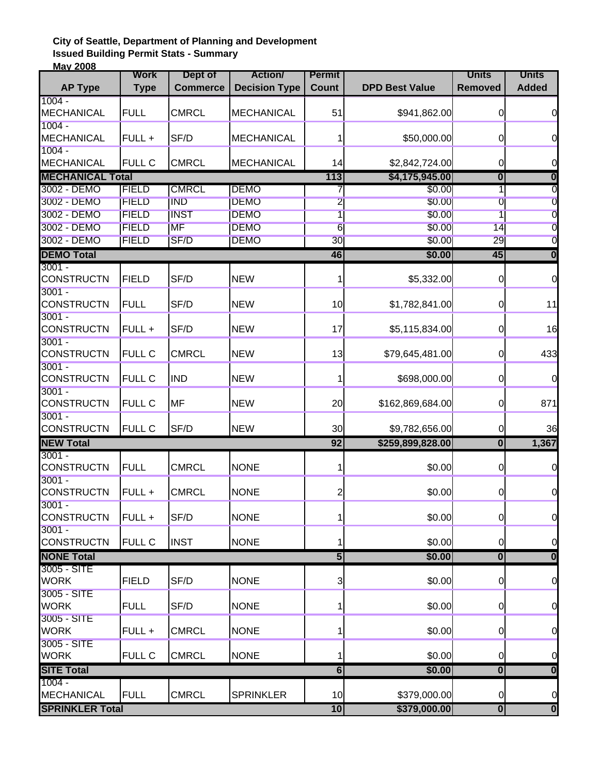## **City of Seattle, Department of Planning and Development Issued Building Permit Stats - Summary May 2008**

|                               | <b>Work</b>   | Dept of         | <b>Action</b>        | <b>Permit</b>           |                       | <b>Units</b>            | <b>Units</b>            |
|-------------------------------|---------------|-----------------|----------------------|-------------------------|-----------------------|-------------------------|-------------------------|
| <b>AP Type</b>                | <b>Type</b>   | <b>Commerce</b> | <b>Decision Type</b> | <b>Count</b>            | <b>DPD Best Value</b> | <b>Removed</b>          | <b>Added</b>            |
| $1004 -$                      |               |                 |                      |                         |                       |                         |                         |
| <b>MECHANICAL</b>             | <b>FULL</b>   | <b>CMRCL</b>    | <b>MECHANICAL</b>    | 51                      | \$941,862.00          | $\overline{0}$          | $\overline{0}$          |
| $1004 -$                      |               |                 |                      |                         |                       |                         |                         |
| MECHANICAL                    | FULL +        | SF/D            | <b>MECHANICAL</b>    |                         | \$50,000.00           | $\overline{0}$          | $\mathbf 0$             |
| $1004 -$                      |               |                 |                      |                         |                       |                         |                         |
| MECHANICAL                    | <b>FULL C</b> | <b>CMRCL</b>    | <b>MECHANICAL</b>    | 14                      | \$2,842,724.00        | $\mathbf 0$             | 0                       |
| <b>MECHANICAL Total</b>       |               |                 |                      | 113                     | \$4,175,945.00        | $\overline{\mathbf{0}}$ | $\bf{0}$                |
| 3002 - DEMO                   | <b>FIELD</b>  | <b>CMRCL</b>    | <b>DEMO</b>          | 7                       | \$0.00                | 1                       | 0                       |
| 3002 - DEMO                   | <b>FIELD</b>  | <b>IND</b>      | <b>DEMO</b>          | $\overline{2}$          | \$0.00                | 0                       | $\overline{0}$          |
| 3002 - DEMO                   | <b>FIELD</b>  | <b>INST</b>     | <b>DEMO</b>          | $\overline{1}$          | \$0.00                | $\overline{1}$          | $\overline{0}$          |
| 3002 - DEMO                   | <b>FIELD</b>  | <b>IMF</b>      | <b>DEMO</b>          | 6                       | \$0.00                | 14                      | $\overline{0}$          |
| 3002 - DEMO                   | <b>FIELD</b>  | SF/D            | <b>DEMO</b>          | 30                      | \$0.00                | 29                      | $\overline{0}$          |
| <b>DEMO Total</b>             |               |                 |                      | 46                      | \$0.00                | 45                      | $\overline{\mathbf{0}}$ |
| $3001 -$                      |               |                 |                      |                         |                       |                         |                         |
| <b>CONSTRUCTN</b>             | <b>FIELD</b>  | SF/D            | <b>NEW</b>           |                         | \$5,332.00            | $\mathbf 0$             | $\overline{0}$          |
| $3001 -$                      |               |                 |                      |                         |                       |                         |                         |
| <b>CONSTRUCTN</b>             | <b>FULL</b>   | SF/D            | <b>NEW</b>           | 10                      | \$1,782,841.00        | $\pmb{0}$               | 11                      |
| $3001 -$                      |               |                 |                      |                         |                       |                         |                         |
| <b>CONSTRUCTN</b>             | FULL +        | SF/D            | <b>NEW</b>           | 17                      | \$5,115,834.00        | $\overline{0}$          | 16                      |
| $3001 -$                      |               |                 |                      |                         |                       |                         |                         |
| <b>CONSTRUCTN</b>             | <b>FULL C</b> | <b>CMRCL</b>    | <b>NEW</b>           | 13                      | \$79,645,481.00       | $\overline{0}$          | 433                     |
| $3001 -$                      |               |                 |                      |                         |                       |                         |                         |
| <b>CONSTRUCTN</b>             | <b>FULL C</b> | <b>IND</b>      | <b>NEW</b>           |                         | \$698,000.00          | $\overline{0}$          | $\mathbf 0$             |
| $3001 -$                      |               |                 |                      |                         |                       |                         |                         |
| <b>CONSTRUCTN</b>             | <b>FULL C</b> | <b>MF</b>       | <b>NEW</b>           | 20                      | \$162,869,684.00      | $\overline{0}$          | 871                     |
| $3001 -$<br><b>CONSTRUCTN</b> | <b>FULL C</b> | SF/D            | <b>NEW</b>           | 30                      | \$9,782,656.00        | $\overline{0}$          | 36                      |
| <b>NEW Total</b>              |               |                 |                      | 92                      |                       | $\overline{\mathbf{0}}$ |                         |
| $3001 -$                      |               |                 |                      |                         | \$259,899,828.00      |                         | 1,367                   |
| <b>CONSTRUCTN</b>             | <b>FULL</b>   | <b>CMRCL</b>    | <b>NONE</b>          |                         | \$0.00                | $\overline{0}$          | $\overline{0}$          |
| $3001 -$                      |               |                 |                      |                         |                       |                         |                         |
| <b>CONSTRUCTN</b>             | FULL +        | <b>CMRCL</b>    | <b>NONE</b>          | $\overline{\mathbf{c}}$ | \$0.00                | $\overline{0}$          | $\overline{0}$          |
| $3001 -$                      |               |                 |                      |                         |                       |                         |                         |
| <b>CONSTRUCTN</b>             | FULL +        | SF/D            | <b>NONE</b>          | 1                       | \$0.00                | $\overline{0}$          | $\overline{0}$          |
| $3001 -$                      |               |                 |                      |                         |                       |                         |                         |
| <b>CONSTRUCTN</b>             | <b>FULL C</b> | <b>INST</b>     | <b>NONE</b>          |                         | \$0.00                | $\overline{0}$          | $\overline{0}$          |
| <b>NONE Total</b>             |               |                 |                      | $\overline{5}$          | \$0.00                | $\overline{\mathbf{0}}$ | $\overline{\mathbf{0}}$ |
| 3005 - SITE                   |               |                 |                      |                         |                       |                         |                         |
| <b>WORK</b>                   | <b>FIELD</b>  | SF/D            | <b>NONE</b>          | 3                       | \$0.00                | $\overline{0}$          | $\overline{0}$          |
| 3005 - SITE                   |               |                 |                      |                         |                       |                         |                         |
| <b>WORK</b>                   | <b>FULL</b>   | SF/D            | <b>NONE</b>          | 1                       | \$0.00                | $\overline{0}$          | $\overline{0}$          |
| 3005 - SITE                   |               |                 |                      |                         |                       |                         |                         |
| <b>WORK</b>                   | FULL +        | <b>CMRCL</b>    | <b>NONE</b>          |                         | \$0.00                | $\overline{0}$          | $\overline{0}$          |
| 3005 - SITE                   |               |                 |                      |                         |                       |                         |                         |
| <b>WORK</b>                   | <b>FULL C</b> | <b>CMRCL</b>    | <b>NONE</b>          | 1                       | \$0.00                | $\overline{0}$          | $\overline{0}$          |
| <b>SITE Total</b>             |               |                 |                      | $\overline{\bf{6}}$     | \$0.00                | $\overline{\mathbf{0}}$ | $\overline{\mathbf{0}}$ |
| 1004 -                        |               |                 |                      |                         |                       |                         |                         |
| MECHANICAL                    | <b>FULL</b>   | <b>CMRCL</b>    | <b>SPRINKLER</b>     | 10                      | \$379,000.00          | $\overline{0}$          | $\overline{0}$          |
| <b>SPRINKLER Total</b>        |               |                 |                      | 10                      | \$379,000.00          | $\overline{\mathbf{0}}$ | $\overline{\mathbf{0}}$ |